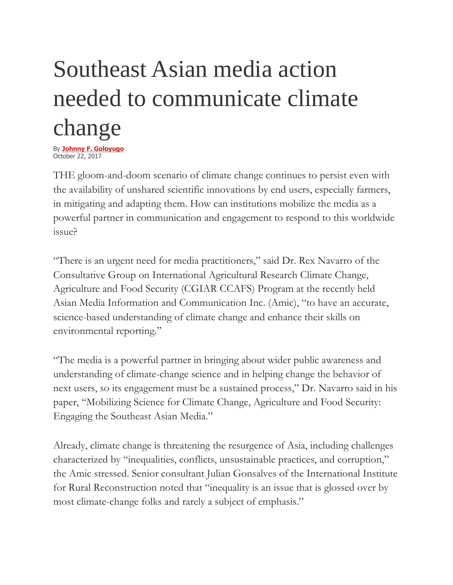# Southeast Asian media action needed to communicate climate change

By **[Johnny F. Goloyugo](https://businessmirror.com.ph/byline/johnny-f-goloyugo/)** October 22, 2017

THE gloom-and-doom scenario of climate change continues to persist even with the availability of unshared scientific innovations by end users, especially farmers, in mitigating and adapting them. How can institutions mobilize the media as a powerful partner in communication and engagement to respond to this worldwide issue?

"There is an urgent need for media practitioners," said Dr. Rex Navarro of the Consultative Group on International Agricultural Research Climate Change, Agriculture and Food Security (CGIAR CCAFS) Program at the recently held Asian Media Information and Communication Inc. (Amic), "to have an accurate, science-based understanding of climate change and enhance their skills on environmental reporting."

"The media is a powerful partner in bringing about wider public awareness and understanding of climate-change science and in helping change the behavior of next users, so its engagement must be a sustained process," Dr. Navarro said in his paper, "Mobilizing Science for Climate Change, Agriculture and Food Security: Engaging the Southeast Asian Media."

Already, climate change is threatening the resurgence of Asia, including challenges characterized by "inequalities, conflicts, unsustainable practices, and corruption," the Amic stressed. Senior consultant Julian Gonsalves of the International Institute for Rural Reconstruction noted that "inequality is an issue that is glossed over by most climate-change folks and rarely a subject of emphasis."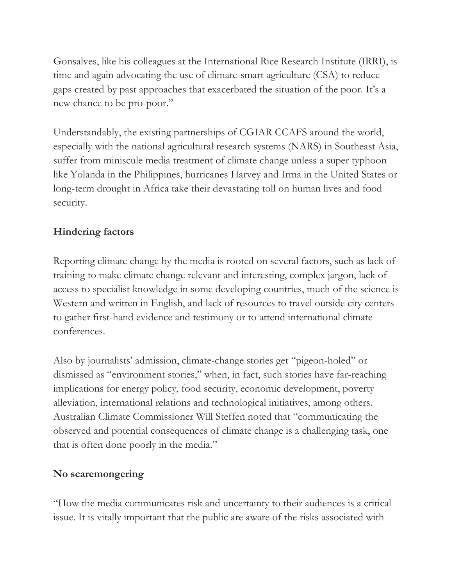Gonsalves, like his colleagues at the International Rice Research Institute (IRRI), is time and again advocating the use of climate-smart agriculture (CSA) to reduce gaps created by past approaches that exacerbated the situation of the poor. It's a new chance to be pro-poor."

Understandably, the existing partnerships of CGIAR CCAFS around the world, especially with the national agricultural research systems (NARS) in Southeast Asia, suffer from miniscule media treatment of climate change unless a super typhoon like Yolanda in the Philippines, hurricanes Harvey and Irma in the United States or long-term drought in Africa take their devastating toll on human lives and food security.

## **Hindering factors**

Reporting climate change by the media is rooted on several factors, such as lack of training to make climate change relevant and interesting, complex jargon, lack of access to specialist knowledge in some developing countries, much of the science is Western and written in English, and lack of resources to travel outside city centers to gather first-hand evidence and testimony or to attend international climate conferences.

Also by journalists' admission, climate-change stories get "pigeon-holed" or dismissed as "environment stories," when, in fact, such stories have far-reaching implications for energy policy, food security, economic development, poverty alleviation, international relations and technological initiatives, among others. Australian Climate Commissioner Will Steffen noted that "communicating the observed and potential consequences of climate change is a challenging task, one that is often done poorly in the media."

## **No scaremongering**

"How the media communicates risk and uncertainty to their audiences is a critical issue. It is vitally important that the public are aware of the risks associated with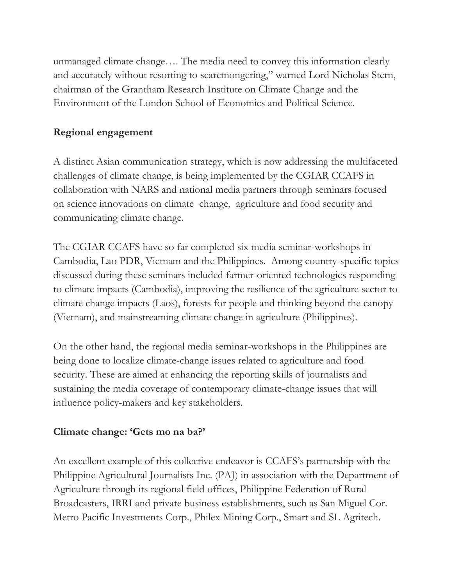unmanaged climate change…. The media need to convey this information clearly and accurately without resorting to scaremongering," warned Lord Nicholas Stern, chairman of the Grantham Research Institute on Climate Change and the Environment of the London School of Economics and Political Science.

#### **Regional engagement**

A distinct Asian communication strategy, which is now addressing the multifaceted challenges of climate change, is being implemented by the CGIAR CCAFS in collaboration with NARS and national media partners through seminars focused on science innovations on climate change, agriculture and food security and communicating climate change.

The CGIAR CCAFS have so far completed six media seminar-workshops in Cambodia, Lao PDR, Vietnam and the Philippines. Among country-specific topics discussed during these seminars included farmer-oriented technologies responding to climate impacts (Cambodia), improving the resilience of the agriculture sector to climate change impacts (Laos), forests for people and thinking beyond the canopy (Vietnam), and mainstreaming climate change in agriculture (Philippines).

On the other hand, the regional media seminar-workshops in the Philippines are being done to localize climate-change issues related to agriculture and food security. These are aimed at enhancing the reporting skills of journalists and sustaining the media coverage of contemporary climate-change issues that will influence policy-makers and key stakeholders.

#### **Climate change: 'Gets mo na ba?'**

An excellent example of this collective endeavor is CCAFS's partnership with the Philippine Agricultural Journalists Inc. (PAJ) in association with the Department of Agriculture through its regional field offices, Philippine Federation of Rural Broadcasters, IRRI and private business establishments, such as San Miguel Cor. Metro Pacific Investments Corp., Philex Mining Corp., Smart and SL Agritech.